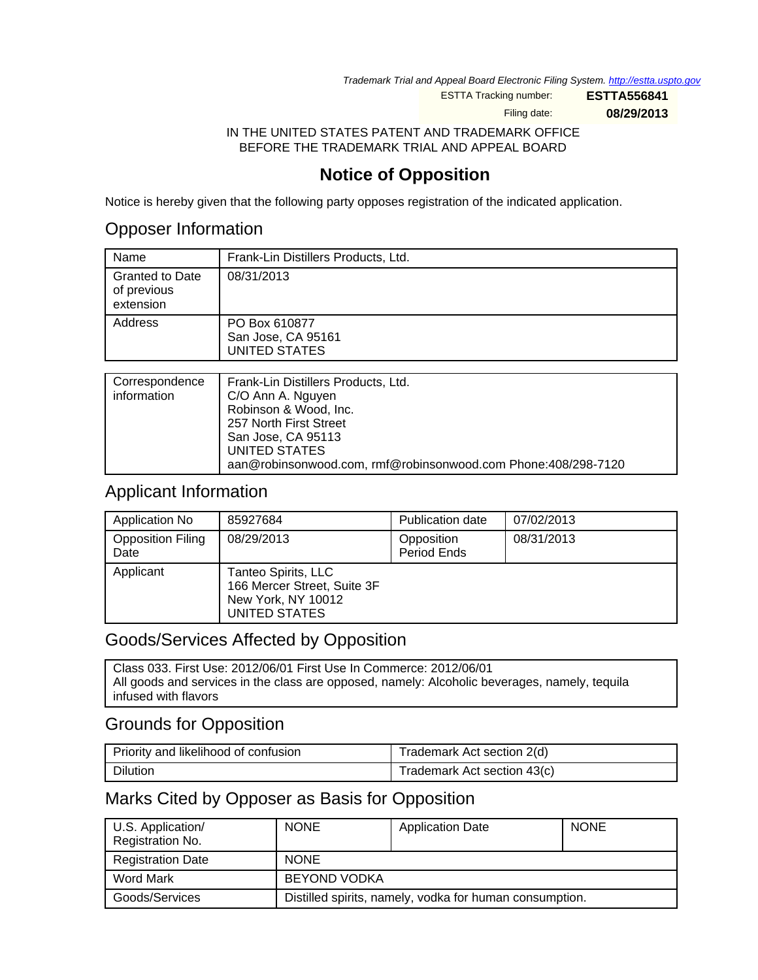Trademark Trial and Appeal Board Electronic Filing System. <http://estta.uspto.gov>

ESTTA Tracking number: **ESTTA556841**

Filing date: **08/29/2013**

IN THE UNITED STATES PATENT AND TRADEMARK OFFICE BEFORE THE TRADEMARK TRIAL AND APPEAL BOARD

# **Notice of Opposition**

Notice is hereby given that the following party opposes registration of the indicated application.

### Opposer Information

| Name                                               | Frank-Lin Distillers Products, Ltd.                  |
|----------------------------------------------------|------------------------------------------------------|
| <b>Granted to Date</b><br>of previous<br>extension | 08/31/2013                                           |
| Address                                            | PO Box 610877<br>San Jose, CA 95161<br>UNITED STATES |
|                                                    |                                                      |
| Associated and the con-                            |                                                      |

| Correspondence | Frank-Lin Distillers Products, Ltd.                           |
|----------------|---------------------------------------------------------------|
| information    | C/O Ann A. Nguyen                                             |
|                | Robinson & Wood, Inc.                                         |
|                | 257 North First Street                                        |
|                | San Jose, CA 95113                                            |
|                | UNITED STATES                                                 |
|                | aan@robinsonwood.com, rmf@robinsonwood.com Phone:408/298-7120 |

## Applicant Information

| Application No                   | 85927684                                                                                  | <b>Publication date</b>   | 07/02/2013 |
|----------------------------------|-------------------------------------------------------------------------------------------|---------------------------|------------|
| <b>Opposition Filing</b><br>Date | 08/29/2013                                                                                | Opposition<br>Period Ends | 08/31/2013 |
| Applicant                        | Tanteo Spirits, LLC<br>166 Mercer Street, Suite 3F<br>New York, NY 10012<br>UNITED STATES |                           |            |

## Goods/Services Affected by Opposition

Class 033. First Use: 2012/06/01 First Use In Commerce: 2012/06/01 All goods and services in the class are opposed, namely: Alcoholic beverages, namely, tequila infused with flavors

## Grounds for Opposition

| Priority and likelihood of confusion | Trademark Act section 2(d)  |
|--------------------------------------|-----------------------------|
| <b>Dilution</b>                      | Trademark Act section 43(c) |

## Marks Cited by Opposer as Basis for Opposition

| U.S. Application/<br>Registration No. | <b>NONE</b>         | <b>Application Date</b>                                 | <b>NONE</b> |
|---------------------------------------|---------------------|---------------------------------------------------------|-------------|
| <b>Registration Date</b>              | <b>NONE</b>         |                                                         |             |
| Word Mark                             | <b>BEYOND VODKA</b> |                                                         |             |
| Goods/Services                        |                     | Distilled spirits, namely, vodka for human consumption. |             |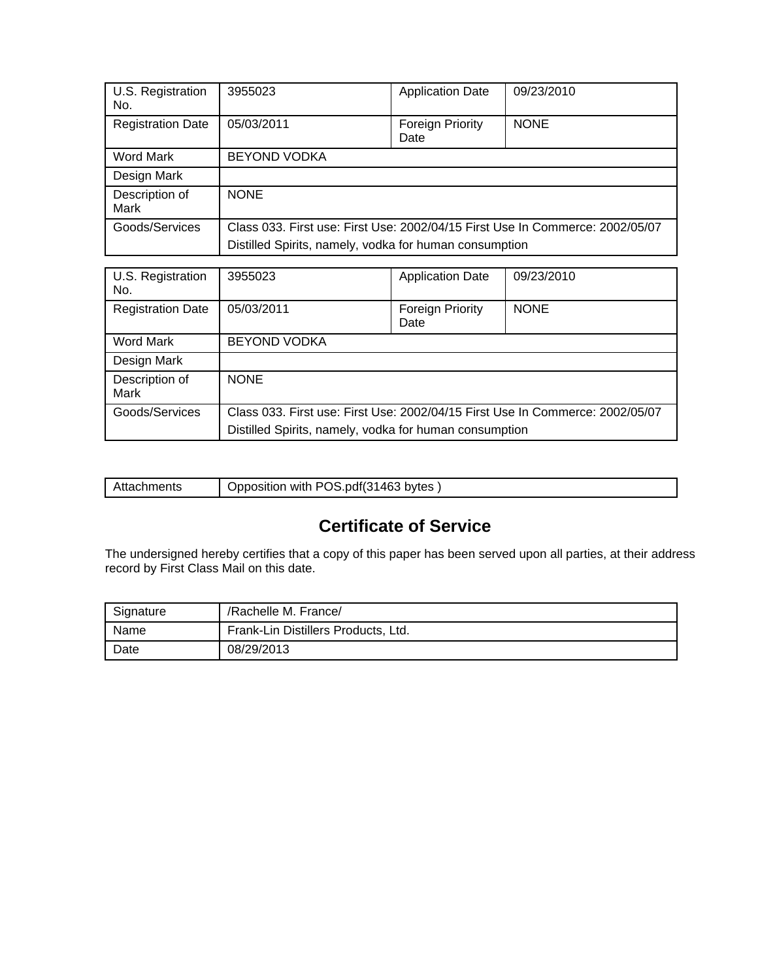| U.S. Registration<br>No. | 3955023                                                                                                                                 | <b>Application Date</b>  | 09/23/2010  |
|--------------------------|-----------------------------------------------------------------------------------------------------------------------------------------|--------------------------|-------------|
| <b>Registration Date</b> | 05/03/2011                                                                                                                              | Foreign Priority<br>Date | <b>NONE</b> |
| Word Mark                | <b>BEYOND VODKA</b>                                                                                                                     |                          |             |
| Design Mark              |                                                                                                                                         |                          |             |
| Description of<br>Mark   | <b>NONE</b>                                                                                                                             |                          |             |
| Goods/Services           | Class 033. First use: First Use: 2002/04/15 First Use In Commerce: 2002/05/07<br>Distilled Spirits, namely, vodka for human consumption |                          |             |

| U.S. Registration<br>No. | 3955023                                                                       | <b>Application Date</b>  | 09/23/2010  |
|--------------------------|-------------------------------------------------------------------------------|--------------------------|-------------|
| <b>Registration Date</b> | 05/03/2011                                                                    | Foreign Priority<br>Date | <b>NONE</b> |
| Word Mark                | <b>BEYOND VODKA</b>                                                           |                          |             |
| Design Mark              |                                                                               |                          |             |
| Description of<br>Mark   | <b>NONE</b>                                                                   |                          |             |
| Goods/Services           | Class 033. First use: First Use: 2002/04/15 First Use In Commerce: 2002/05/07 |                          |             |
|                          | Distilled Spirits, namely, vodka for human consumption                        |                          |             |

| าhments<br>апас | .pdf(31<br>1463<br>with POS .<br>bvtes<br>Jpposition |
|-----------------|------------------------------------------------------|
|                 |                                                      |

# **Certificate of Service**

The undersigned hereby certifies that a copy of this paper has been served upon all parties, at their address record by First Class Mail on this date.

| Signature | /Rachelle M. France/                |
|-----------|-------------------------------------|
| Name      | Frank-Lin Distillers Products, Ltd. |
| Date      | 08/29/2013                          |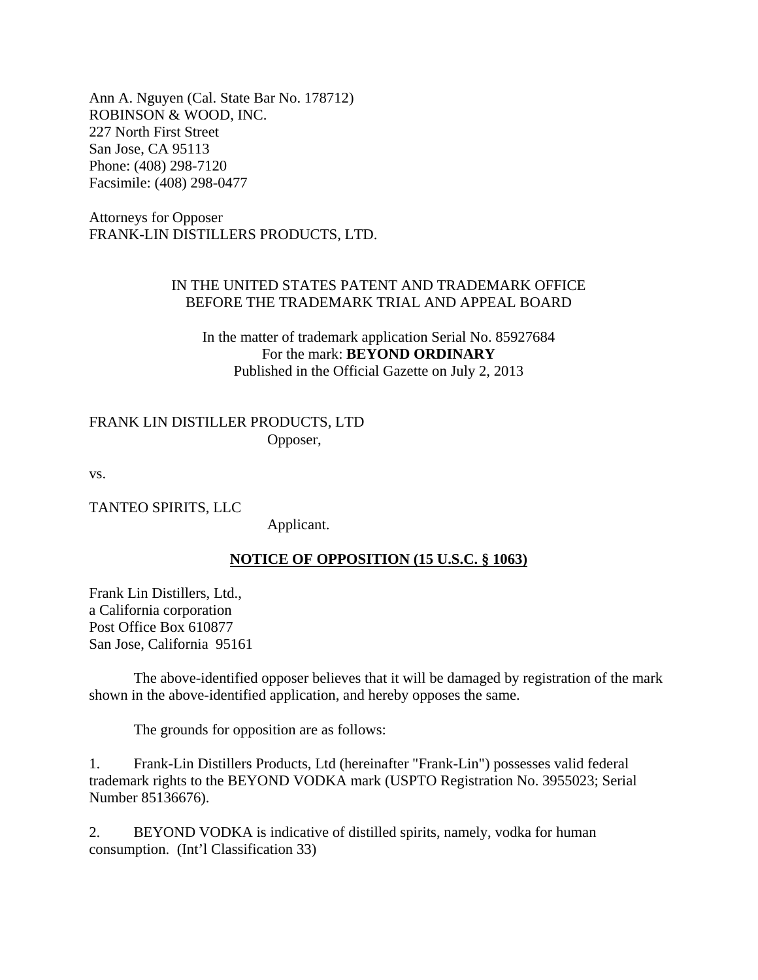Ann A. Nguyen (Cal. State Bar No. 178712) ROBINSON & WOOD, INC. 227 North First Street San Jose, CA 95113 Phone: (408) 298-7120 Facsimile: (408) 298-0477

Attorneys for Opposer FRANK-LIN DISTILLERS PRODUCTS, LTD.

### IN THE UNITED STATES PATENT AND TRADEMARK OFFICE BEFORE THE TRADEMARK TRIAL AND APPEAL BOARD

In the matter of trademark application Serial No. 85927684 For the mark: **BEYOND ORDINARY** Published in the Official Gazette on July 2, 2013

#### FRANK LIN DISTILLER PRODUCTS, LTD Opposer,

vs.

TANTEO SPIRITS, LLC

Applicant.

#### **NOTICE OF OPPOSITION (15 U.S.C. § 1063)**

Frank Lin Distillers, Ltd., a California corporation Post Office Box 610877 San Jose, California 95161

 The above-identified opposer believes that it will be damaged by registration of the mark shown in the above-identified application, and hereby opposes the same.

The grounds for opposition are as follows:

1. Frank-Lin Distillers Products, Ltd (hereinafter "Frank-Lin") possesses valid federal trademark rights to the BEYOND VODKA mark (USPTO Registration No. 3955023; Serial Number 85136676).

2. BEYOND VODKA is indicative of distilled spirits, namely, vodka for human consumption. (Int'l Classification 33)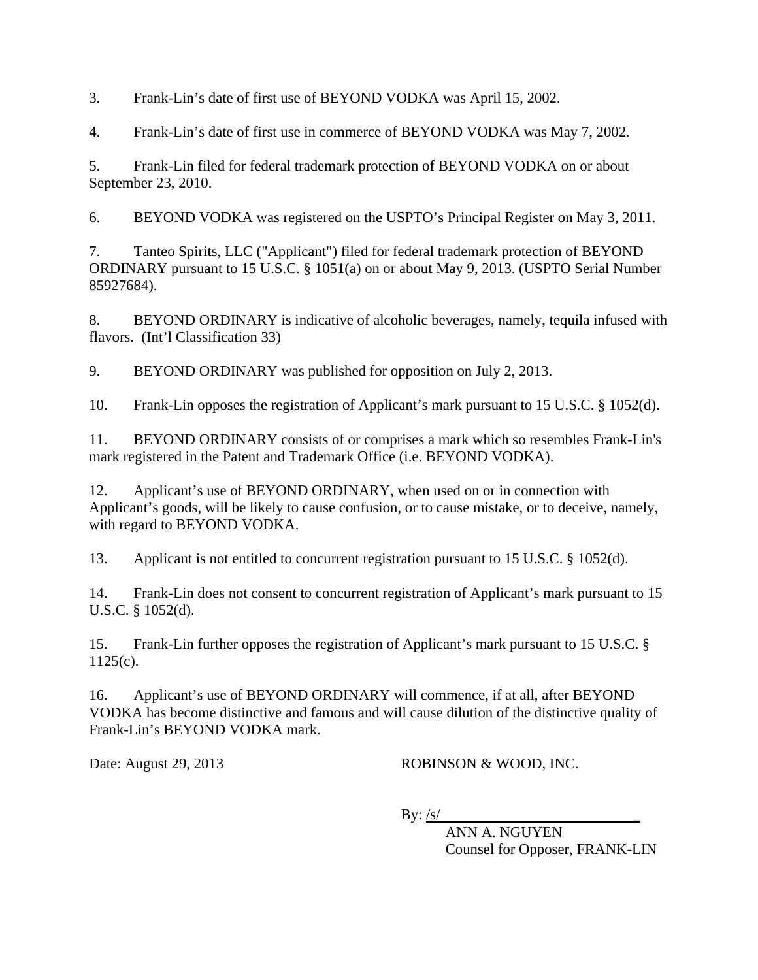3. Frank-Lin's date of first use of BEYOND VODKA was April 15, 2002.

4. Frank-Lin's date of first use in commerce of BEYOND VODKA was May 7, 2002.

5. Frank-Lin filed for federal trademark protection of BEYOND VODKA on or about September 23, 2010.

6. BEYOND VODKA was registered on the USPTO's Principal Register on May 3, 2011.

7. Tanteo Spirits, LLC ("Applicant") filed for federal trademark protection of BEYOND ORDINARY pursuant to 15 U.S.C. § 1051(a) on or about May 9, 2013. (USPTO Serial Number 85927684).

8. BEYOND ORDINARY is indicative of alcoholic beverages, namely, tequila infused with flavors. (Int'l Classification 33)

9. BEYOND ORDINARY was published for opposition on July 2, 2013.

10. Frank-Lin opposes the registration of Applicant's mark pursuant to 15 U.S.C. § 1052(d).

11. BEYOND ORDINARY consists of or comprises a mark which so resembles Frank-Lin's mark registered in the Patent and Trademark Office (i.e. BEYOND VODKA).

12. Applicant's use of BEYOND ORDINARY, when used on or in connection with Applicant's goods, will be likely to cause confusion, or to cause mistake, or to deceive, namely, with regard to BEYOND VODKA.

13. Applicant is not entitled to concurrent registration pursuant to 15 U.S.C. § 1052(d).

14. Frank-Lin does not consent to concurrent registration of Applicant's mark pursuant to 15 U.S.C. § 1052(d).

15. Frank-Lin further opposes the registration of Applicant's mark pursuant to 15 U.S.C. §  $1125(c)$ .

16. Applicant's use of BEYOND ORDINARY will commence, if at all, after BEYOND VODKA has become distinctive and famous and will cause dilution of the distinctive quality of Frank-Lin's BEYOND VODKA mark.

Date: August 29, 2013 ROBINSON & WOOD, INC.

 $\mathbf{B} \mathbf{y}: \mathbf{S}$ /

 ANN A. NGUYEN Counsel for Opposer, FRANK-LIN